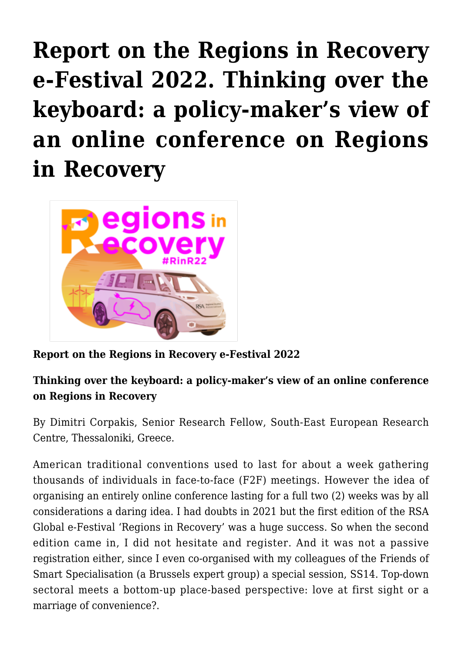## **[Report on the Regions in Recovery](https://regions.regionalstudies.org/ezine/article/issue-12-dimitri-corpakis/) [e-Festival 2022. Thinking over the](https://regions.regionalstudies.org/ezine/article/issue-12-dimitri-corpakis/) [keyboard: a policy-maker's view of](https://regions.regionalstudies.org/ezine/article/issue-12-dimitri-corpakis/) [an online conference on Regions](https://regions.regionalstudies.org/ezine/article/issue-12-dimitri-corpakis/) [in Recovery](https://regions.regionalstudies.org/ezine/article/issue-12-dimitri-corpakis/)**



**Report on the Regions in Recovery e-Festival 2022**

## **Thinking over the keyboard: a policy-maker's view of an online conference on Regions in Recovery**

By Dimitri Corpakis, Senior Research Fellow, South-East European Research Centre, Thessaloniki, Greece.

American traditional conventions used to last for about a week gathering thousands of individuals in face-to-face (F2F) meetings. However the idea of organising an entirely online conference lasting for a full two (2) weeks was by all considerations a daring idea. I had doubts in 2021 but the first edition of the RSA Global e-Festival 'Regions in Recovery' was a huge success. So when the second edition came in, I did not hesitate and register. And it was not a passive registration either, since I even co-organised with my colleagues of the [Friends of](https://friendsofsmartspecialisation.eu/) [Smart Specialisation](https://friendsofsmartspecialisation.eu/) (a Brussels expert group) a special session, [SS14. Top-down](https://events.rdmobile.com/Lists/Details/1279154) [sectoral meets a bottom-up place-based perspective: love at first sight or a](https://events.rdmobile.com/Lists/Details/1279154) [marriage of convenience?.](https://events.rdmobile.com/Lists/Details/1279154)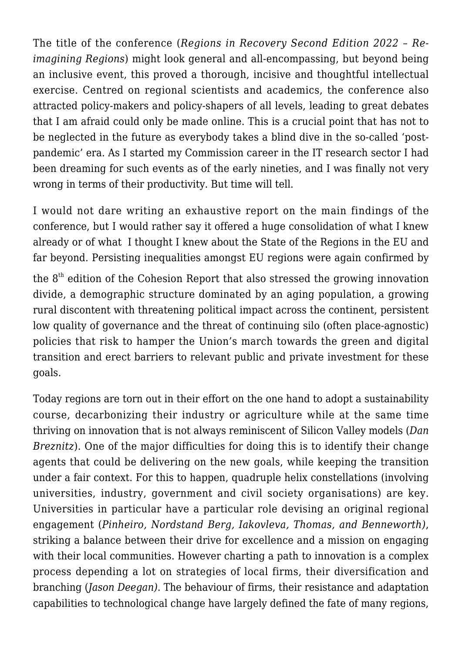The title of the conference (*[Regions in Recovery Second Edition 2022 – Re](https://www.regionalstudies.org/events/rinr2022/)[imagining Regions](https://www.regionalstudies.org/events/rinr2022/)*) might look general and all-encompassing, but beyond being an inclusive event, this proved a thorough, incisive and thoughtful intellectual exercise. Centred on regional scientists and academics, the conference also attracted policy-makers and policy-shapers of all levels, leading to great debates that I am afraid could only be made online. This is a crucial point that has not to be neglected in the future as everybody takes a blind dive in the so-called 'postpandemic' era. As I started my Commission career in the IT research sector I had been dreaming for such events as of the early nineties, and I was finally not very wrong in terms of their productivity. But time will tell.

I would not dare writing an exhaustive report on the main findings of the conference, but I would rather say it offered a huge consolidation of what I knew already or of what I thought I knew about the State of the Regions in the EU and far beyond. Persisting inequalities amongst EU regions were again confirmed by

the  $8<sup>th</sup>$  edition of the [Cohesion Report](https://ec.europa.eu/regional_policy/en/information/cohesion-report/) that also stressed the growing innovation divide, a demographic structure dominated by an aging population, a growing rural discontent with threatening political impact across the continent, persistent low quality of governance and the threat of continuing silo (often place-agnostic) policies that risk to hamper the Union's march towards the green and digital transition and erect barriers to relevant public and private investment for these goals.

Today regions are torn out in their effort on the one hand to adopt a sustainability course, decarbonizing their industry or agriculture while at the same time thriving on innovation that is not always reminiscent of Silicon Valley models (*Dan Breznitz*). One of the major difficulties for doing this is to identify their change agents that could be delivering on the new goals, while keeping the transition under a fair context. For this to happen, quadruple helix constellations (involving universities, industry, government and civil society organisations) are key. Universities in particular have a particular role devising an original regional engagement (*Pinheiro, Nordstand Berg, Iakovleva, Thomas, and Benneworth)*, striking a balance between their drive for excellence and a mission on engaging with their local communities. However charting a path to innovation is a complex process depending a lot on strategies of local firms, their diversification and branching (*Jason Deegan)*. The behaviour of firms, their resistance and adaptation capabilities to technological change have largely defined the fate of many regions,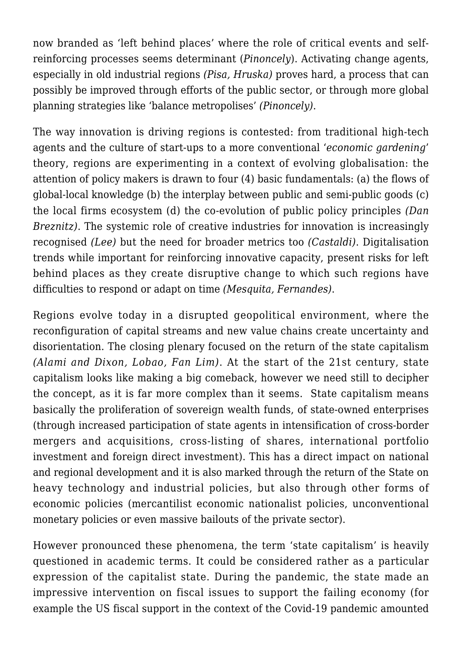now branded as 'left behind places' where the role of critical events and selfreinforcing processes seems determinant (*Pinoncely*). Activating change agents, especially in old industrial regions *(Pisa, Hruska)* proves hard, a process that can possibly be improved through efforts of the public sector, or through more global planning strategies like 'balance metropolises' *(Pinoncely)*.

The way innovation is driving regions is contested: from traditional high-tech agents and the culture of start-ups to a more conventional '*economic gardening*' theory, regions are experimenting in a context of evolving globalisation: the attention of policy makers is drawn to four (4) basic fundamentals: (a) the flows of global-local knowledge (b) the interplay between public and semi-public goods (c) the local firms ecosystem (d) the co-evolution of public policy principles *(Dan Breznitz)*. The systemic role of creative industries for innovation is increasingly recognised *(Lee)* but the need for broader metrics too *(Castaldi)*. Digitalisation trends while important for reinforcing innovative capacity, present risks for left behind places as they create disruptive change to which such regions have difficulties to respond or adapt on time *(Mesquita, Fernandes)*.

Regions evolve today in a disrupted geopolitical environment, where the reconfiguration of capital streams and new value chains create uncertainty and disorientation. The closing plenary focused on the return of the state capitalism *(Alami and Dixon, Lobao, Fan Lim)*. At the start of the 21st century, state capitalism looks like making a big comeback, however we need still to decipher the concept, as it is far more complex than it seems. State capitalism means basically the proliferation of sovereign wealth funds, of state-owned enterprises (through increased participation of state agents in intensification of cross-border mergers and acquisitions, cross-listing of shares, international portfolio investment and foreign direct investment). This has a direct impact on national and regional development and it is also marked through the return of the State on heavy technology and industrial policies, but also through other forms of economic policies (mercantilist economic nationalist policies, unconventional monetary policies or even massive bailouts of the private sector).

However pronounced these phenomena, the term 'state capitalism' is heavily questioned in academic terms. It could be considered rather as a particular expression of the capitalist state. During the pandemic, the state made an impressive intervention on fiscal issues to support the failing economy (for example the US fiscal support in the context of the Covid-19 pandemic amounted